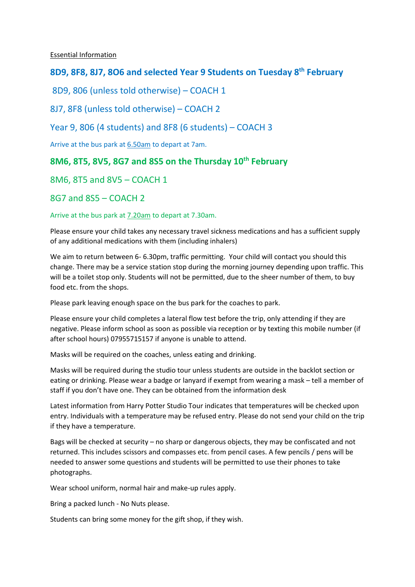Essential Information

# **8D9, 8F8, 8J7, 8O6 and selected Year 9 Students on Tuesday 8th February**

8D9, 806 (unless told otherwise) – COACH 1

8J7, 8F8 (unless told otherwise) – COACH 2

## Year 9, 806 (4 students) and 8F8 (6 students) – COACH 3

Arrive at the bus park at 6.50am to depart at 7am.

## **8M6, 8T5, 8V5, 8G7 and 8S5 on the Thursday 10th February**

## 8M6, 8T5 and 8V5 – COACH 1

8G7 and 8S5 – COACH 2

#### Arrive at the bus park at 7.20am to depart at 7.30am.

Please ensure your child takes any necessary travel sickness medications and has a sufficient supply of any additional medications with them (including inhalers)

We aim to return between 6- 6.30pm, traffic permitting. Your child will contact you should this change. There may be a service station stop during the morning journey depending upon traffic. This will be a toilet stop only. Students will not be permitted, due to the sheer number of them, to buy food etc. from the shops.

Please park leaving enough space on the bus park for the coaches to park.

Please ensure your child completes a lateral flow test before the trip, only attending if they are negative. Please inform school as soon as possible via reception or by texting this mobile number (if after school hours) 07955715157 if anyone is unable to attend.

Masks will be required on the coaches, unless eating and drinking.

Masks will be required during the studio tour unless students are outside in the backlot section or eating or drinking. Please wear a badge or lanyard if exempt from wearing a mask – tell a member of staff if you don't have one. They can be obtained from the information desk

Latest information from Harry Potter Studio Tour indicates that temperatures will be checked upon entry. Individuals with a temperature may be refused entry. Please do not send your child on the trip if they have a temperature.

Bags will be checked at security – no sharp or dangerous objects, they may be confiscated and not returned. This includes scissors and compasses etc. from pencil cases. A few pencils / pens will be needed to answer some questions and students will be permitted to use their phones to take photographs.

Wear school uniform, normal hair and make-up rules apply.

Bring a packed lunch - No Nuts please.

Students can bring some money for the gift shop, if they wish.